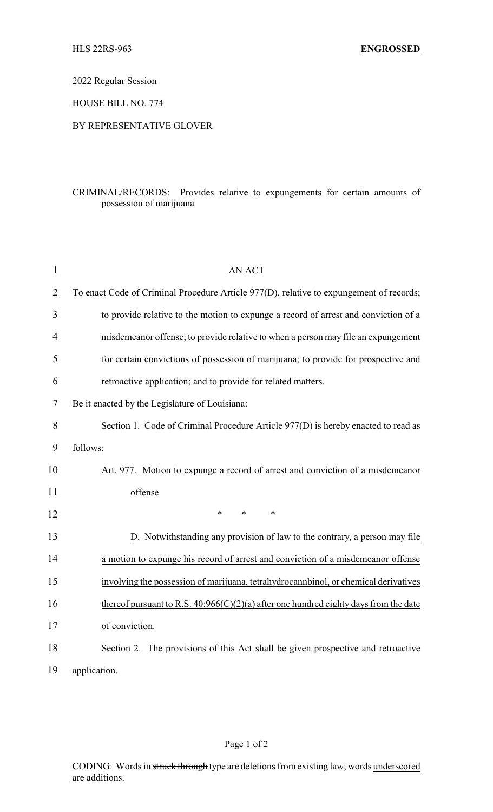2022 Regular Session

HOUSE BILL NO. 774

## BY REPRESENTATIVE GLOVER

## CRIMINAL/RECORDS: Provides relative to expungements for certain amounts of possession of marijuana

| $\mathbf{1}$   | <b>AN ACT</b>                                                                           |
|----------------|-----------------------------------------------------------------------------------------|
| $\overline{2}$ | To enact Code of Criminal Procedure Article 977(D), relative to expungement of records; |
| 3              | to provide relative to the motion to expunge a record of arrest and conviction of a     |
| $\overline{4}$ | misdemeanor offense; to provide relative to when a person may file an expungement       |
| 5              | for certain convictions of possession of marijuana; to provide for prospective and      |
| 6              | retroactive application; and to provide for related matters.                            |
| 7              | Be it enacted by the Legislature of Louisiana:                                          |
| 8              | Section 1. Code of Criminal Procedure Article 977(D) is hereby enacted to read as       |
| 9              | follows:                                                                                |
| 10             | Art. 977. Motion to expunge a record of arrest and conviction of a misdemeanor          |
| 11             | offense                                                                                 |
| 12             | $\ast$<br>$\ast$<br>$\ast$                                                              |
| 13             | D. Notwithstanding any provision of law to the contrary, a person may file              |
| 14             | a motion to expunge his record of arrest and conviction of a misdemeanor offense        |
| 15             | involving the possession of marijuana, tetrahydrocannbinol, or chemical derivatives     |
| 16             | thereof pursuant to R.S. $40:966(C)(2)(a)$ after one hundred eighty days from the date  |
| 17             | of conviction.                                                                          |
| 18             | Section 2. The provisions of this Act shall be given prospective and retroactive        |
| 19             | application.                                                                            |